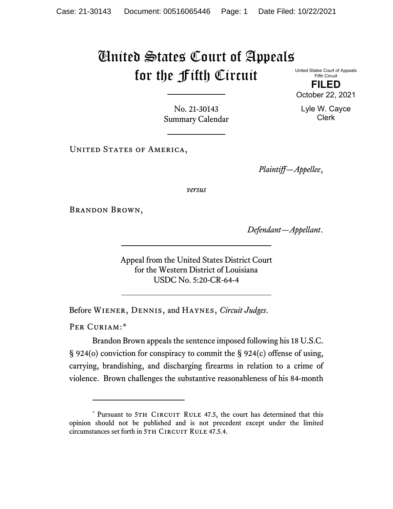## United States Court of Appeals for the Fifth Circuit

United States Court of Appeals Fifth Circuit **FILED**

October 22, 2021

Lyle W. Cayce Clerk

No. 21-30143 Summary Calendar

UNITED STATES OF AMERICA,

*Plaintiff—Appellee*,

*versus*

Brandon Brown,

*Defendant—Appellant*.

Appeal from the United States District Court for the Western District of Louisiana USDC No. 5:20-CR-64-4

Before Wiener, Dennis, and Haynes, *Circuit Judges*.

PER CURIAM:[\\*](#page-0-0)

Brandon Brown appeals the sentence imposed following his 18 U.S.C. § 924(o) conviction for conspiracy to commit the § 924(c) offense of using, carrying, brandishing, and discharging firearms in relation to a crime of violence. Brown challenges the substantive reasonableness of his 84-month

<span id="page-0-0"></span><sup>\*</sup> Pursuant to 5TH CIRCUIT RULE 47.5, the court has determined that this opinion should not be published and is not precedent except under the limited circumstances set forth in 5TH CIRCUIT RULE 47.5.4.